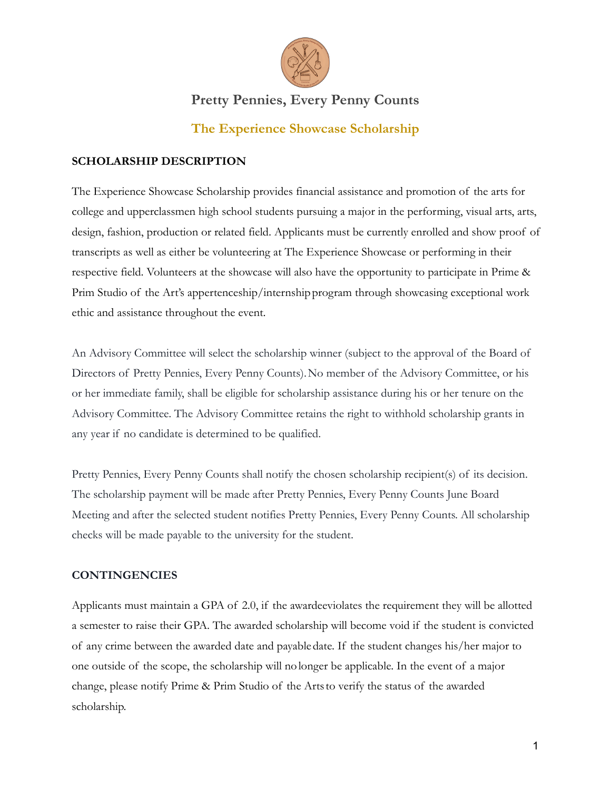

# **Pretty Pennies, Every Penny Counts**

### **The Experience Showcase Scholarship**

### **SCHOLARSHIP DESCRIPTION**

The Experience Showcase Scholarship provides financial assistance and promotion of the arts for college and upperclassmen high school students pursuing a major in the performing, visual arts, arts, design, fashion, production or related field. Applicants must be currently enrolled and show proof of transcripts as well as either be volunteering at The Experience Showcase or performing in their respective field. Volunteers at the showcase will also have the opportunity to participate in Prime & Prim Studio of the Art's appertenceship/internshipprogram through showcasing exceptional work ethic and assistance throughout the event.

An Advisory Committee will select the scholarship winner (subject to the approval of the Board of Directors of Pretty Pennies, Every Penny Counts).No member of the Advisory Committee, or his or her immediate family, shall be eligible for scholarship assistance during his or her tenure on the Advisory Committee. The Advisory Committee retains the right to withhold scholarship grants in any year if no candidate is determined to be qualified.

Pretty Pennies, Every Penny Counts shall notify the chosen scholarship recipient(s) of its decision. The scholarship payment will be made after Pretty Pennies, Every Penny Counts June Board Meeting and after the selected student notifies Pretty Pennies, Every Penny Counts. All scholarship checks will be made payable to the university for the student.

### **CONTINGENCIES**

Applicants must maintain a GPA of 2.0, if the awardeeviolates the requirement they will be allotted a semester to raise their GPA. The awarded scholarship will become void if the student is convicted of any crime between the awarded date and payabledate. If the student changes his/her major to one outside of the scope, the scholarship will nolonger be applicable. In the event of a major change, please notify Prime & Prim Studio of the Artsto verify the status of the awarded scholarship.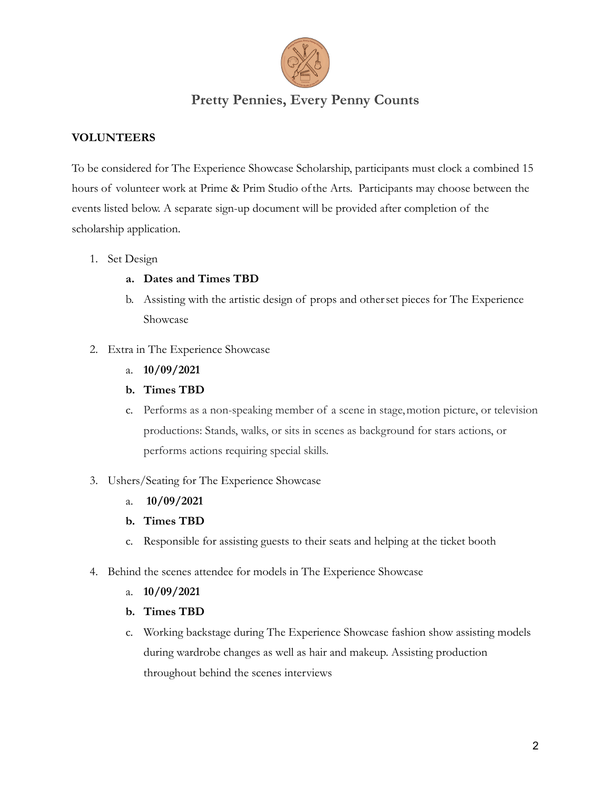

### **Pretty Pennies, Every Penny Counts**

### **VOLUNTEERS**

To be considered for The Experience Showcase Scholarship, participants must clock a combined 15 hours of volunteer work at Prime & Prim Studio ofthe Arts. Participants may choose between the events listed below. A separate sign-up document will be provided after completion of the scholarship application.

- 1. Set Design
	- **a. Dates and Times TBD**
	- b. Assisting with the artistic design of props and otherset pieces for The Experience Showcase
- 2. Extra in The Experience Showcase
	- a. **10/09/2021**
	- **b. Times TBD**
	- c. Performs as a non-speaking member of a scene in stage,motion picture, or television productions: Stands, walks, or sits in scenes as background for stars actions, or performs actions requiring special skills.
- 3. Ushers/Seating for The Experience Showcase
	- a. **10/09/2021**
	- **b. Times TBD**
	- c. Responsible for assisting guests to their seats and helping at the ticket booth
- 4. Behind the scenes attendee for models in The Experience Showcase
	- a. **10/09/2021**
	- **b. Times TBD**
	- c. Working backstage during The Experience Showcase fashion show assisting models during wardrobe changes as well as hair and makeup. Assisting production throughout behind the scenes interviews